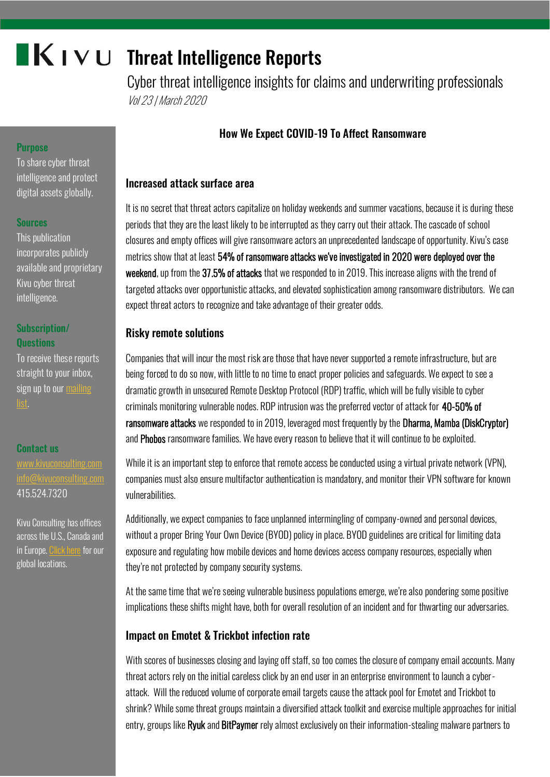# $\blacksquare K$  I  $\vee$  U Threat Intelligence Reports

Cyber threat intelligence insights for claims and underwriting professionals Vol 23 | March 2020

# How We Expect COVID-19 To Affect Ransomware

## Increased attack surface area

It is no secret that threat actors capitalize on holiday weekends and summer vacations, because it is during these periods that they are the least likely to be interrupted as they carry out their attack. The cascade of school closures and empty offices will give ransomware actors an unprecedented landscape of opportunity. Kivu's case metrics show that at least 54% of ransomware attacks we've investigated in 2020 were deployed over the weekend, up from the 37.5% of attacks that we responded to in 2019. This increase aligns with the trend of targeted attacks over opportunistic attacks, and elevated sophistication among ransomware distributors. We can expect threat actors to recognize and take advantage of their greater odds.

## Risky remote solutions

Companies that will incur the most risk are those that have never supported a remote infrastructure, but are being forced to do so now, with little to no time to enact proper policies and safeguards. We expect to see a dramatic growth in unsecured Remote Desktop Protocol (RDP) traffic, which will be fully visible to cyber criminals monitoring vulnerable nodes. RDP intrusion was the preferred vector of attack for 40-50% of ransomware attacks we responded to in 2019, leveraged most frequently by the Dharma, Mamba (DiskCryptor) and Phobos ransomware families. We have every reason to believe that it will continue to be exploited.

While it is an important step to enforce that remote access be conducted using a virtual private network (VPN), companies must also ensure multifactor authentication is mandatory, and monitor their VPN software for known vulnerabilities.

Additionally, we expect companies to face unplanned intermingling of company-owned and personal devices, without a proper Bring Your Own Device (BYOD) policy in place. BYOD guidelines are critical for limiting data exposure and regulating how mobile devices and home devices access company resources, especially when they're not protected by company security systems.

At the same time that we're seeing vulnerable business populations emerge, we're also pondering some positive implications these shifts might have, both for overall resolution of an incident and for thwarting our adversaries.

## Impact on Emotet & Trickbot infection rate

With scores of businesses closing and laying off staff, so too comes the closure of company email accounts. Many threat actors rely on the initial careless click by an end user in an enterprise environment to launch a cyberattack. Will the reduced volume of corporate email targets cause the attack pool for Emotet and Trickbot to shrink? While some threat groups maintain a diversified attack toolkit and exercise multiple approaches for initial entry, groups like **Ryuk** and **BitPaymer** rely almost exclusively on their information-stealing malware partners to

## **Purpose**

To share cyber threat intelligence and protect digital assets globally.

#### **Sources**

This publication incorporates publicly available and proprietary Kivu cyber threat intelligence.

## Subscription/ **Ouestions**

To receive these reports straight to your inbox, sign up to our mailing

#### Contact us

[www.kivuconsulting.com](http://www.kivuconsulting.com/) [info@kivuconsulting.com](mailto:info@kivuconsulting.com) 415.524.7320

Kivu Consulting has offices across the U.S., Canada and in Europe[. Click here](https://kivuconsulting.com/locations/) for our global locations.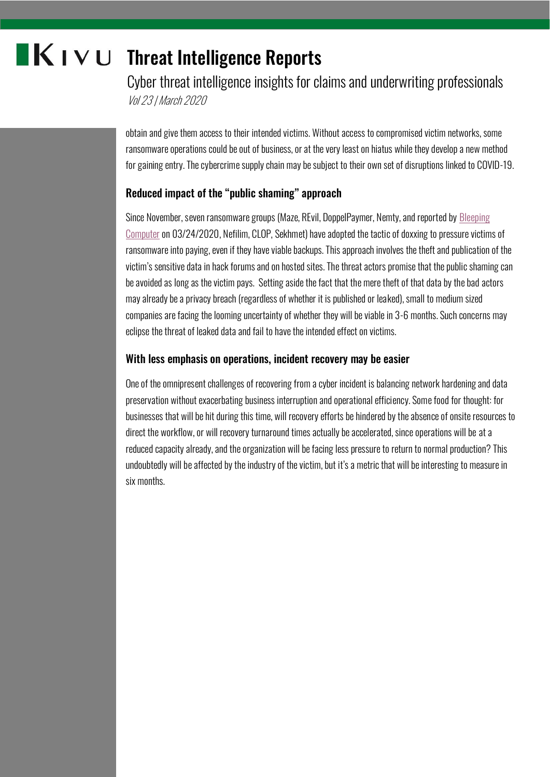# **KIVU** Threat Intelligence Reports

Cyber threat intelligence insights for claims and underwriting professionals Vol 23 | March 2020

obtain and give them access to their intended victims. Without access to compromised victim networks, some ransomware operations could be out of business, or at the very least on hiatus while they develop a new method for gaining entry. The cybercrime supply chain may be subject to their own set of disruptions linked to COVID-19.

## Reduced impact of the "public shaming" approach

Since November, seven ransomware groups (Maze, REvil, DoppelPaymer, Nemty, and reported by [Bleeping](https://www.bleepingcomputer.com/news/security/three-more-ransomware-families-create-sites-to-leak-stolen-data/)  [Computer](https://www.bleepingcomputer.com/news/security/three-more-ransomware-families-create-sites-to-leak-stolen-data/) on 03/24/2020, Nefilim, CLOP, Sekhmet) have adopted the tactic of doxxing to pressure victims of ransomware into paying, even if they have viable backups. This approach involves the theft and publication of the victim's sensitive data in hack forums and on hosted sites. The threat actors promise that the public shaming can be avoided as long as the victim pays. Setting aside the fact that the mere theft of that data by the bad actors may already be a privacy breach (regardless of whether it is published or leaked), small to medium sized companies are facing the looming uncertainty of whether they will be viable in 3-6 months. Such concerns may eclipse the threat of leaked data and fail to have the intended effect on victims.

## With less emphasis on operations, incident recovery may be easier

One of the omnipresent challenges of recovering from a cyber incident is balancing network hardening and data preservation without exacerbating business interruption and operational efficiency. Some food for thought: for businesses that will be hit during this time, will recovery efforts be hindered by the absence of onsite resources to direct the workflow, or will recovery turnaround times actually be accelerated, since operations will be at a reduced capacity already, and the organization will be facing less pressure to return to normal production? This undoubtedly will be affected by the industry of the victim, but it's a metric that will be interesting to measure in six months.